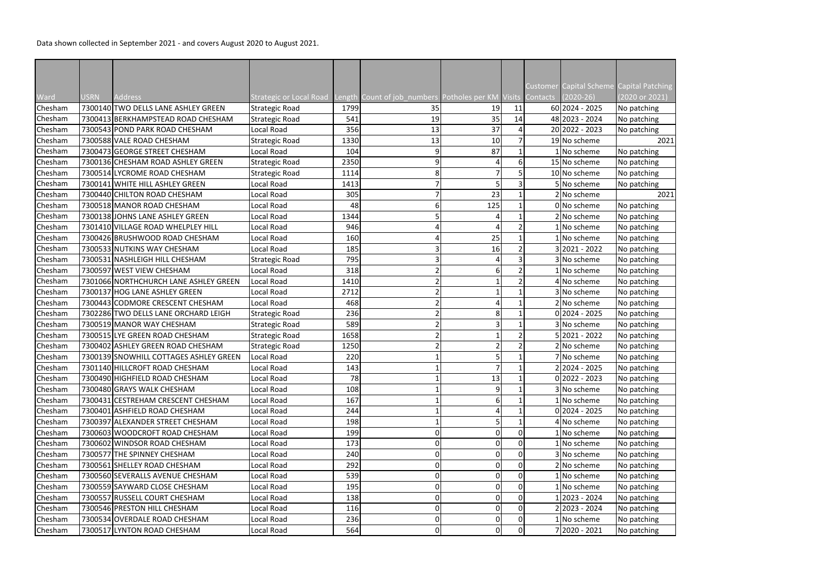Data shown collected in September 2021 - and covers August 2020 to August 2021.

|                    |      | <b>Address</b>                                              |                                           |             |                                                          |                |             |          | $(2020-26)$     | Customer Capital Scheme Capital Patching<br>(2020 or 2021) |
|--------------------|------|-------------------------------------------------------------|-------------------------------------------|-------------|----------------------------------------------------------|----------------|-------------|----------|-----------------|------------------------------------------------------------|
| Ward<br>Chesham    | USRN | 7300140 TWO DELLS LANE ASHLEY GREEN                         | Strategic or Local Road<br>Strategic Road | 1799        | Length Count of job_numbers Potholes per KM Visits<br>35 |                | 11          | Contacts | 60 2024 - 2025  |                                                            |
|                    |      | 7300413 BERKHAMPSTEAD ROAD CHESHAM                          |                                           | 541         | 19                                                       | 19<br>35       | 14          |          | 48 2023 - 2024  | No patching                                                |
| Chesham<br>Chesham |      |                                                             | Strategic Road                            |             |                                                          |                | 4           |          | 20 2022 - 2023  | No patching                                                |
|                    |      | 7300543 POND PARK ROAD CHESHAM<br>7300588 VALE ROAD CHESHAM | Local Road                                | 356<br>1330 | 13                                                       | 37<br>10       |             |          | 19 No scheme    | No patching<br>2021                                        |
| Chesham            |      |                                                             | Strategic Road                            |             | 13                                                       |                |             |          |                 |                                                            |
| Chesham            |      | 7300473 GEORGE STREET CHESHAM                               | Local Road                                | 104         |                                                          | 87             |             |          | 1 No scheme     | No patching                                                |
| Chesham            |      | 7300136 CHESHAM ROAD ASHLEY GREEN                           | Strategic Road                            | 2350        | q                                                        | 4              | 6           |          | 15 No scheme    | No patching                                                |
| Chesham            |      | 7300514 LYCROME ROAD CHESHAM                                | Strategic Road                            | 1114        |                                                          |                |             |          | 10 No scheme    | No patching                                                |
| Chesham            |      | 7300141 WHITE HILL ASHLEY GREEN                             | Local Road                                | 1413        |                                                          |                | 3           |          | 5 No scheme     | No patching                                                |
| Chesham            |      | 7300440 CHILTON ROAD CHESHAM                                | Local Road                                | 305         |                                                          | 23             |             |          | 2 No scheme     | 2021                                                       |
| Chesham            |      | 7300518 MANOR ROAD CHESHAM                                  | Local Road                                | 48          |                                                          | 125            |             |          | 0 No scheme     | No patching                                                |
| Chesham            |      | 7300138 JOHNS LANE ASHLEY GREEN                             | Local Road                                | 1344        |                                                          |                |             |          | 2 No scheme     | No patching                                                |
| Chesham            |      | 7301410 VILLAGE ROAD WHELPLEY HILL                          | Local Road                                | 946         |                                                          |                |             |          | l No scheme     | No patching                                                |
| Chesham            |      | 7300426 BRUSHWOOD ROAD CHESHAM                              | Local Road                                | 160         |                                                          | 25             |             |          | 1   No scheme   | No patching                                                |
| Chesham            |      | 7300533 NUTKINS WAY CHESHAM                                 | Local Road                                | 185         |                                                          | 16             |             |          | 3 2021 - 2022   | No patching                                                |
| Chesham            |      | 7300531 NASHLEIGH HILL CHESHAM                              | <b>Strategic Road</b>                     | 795         |                                                          |                |             |          | 3   No scheme   | No patching                                                |
| Chesham            |      | 7300597 WEST VIEW CHESHAM                                   | Local Road                                | 318         |                                                          | 6              |             |          | LNo scheme      | No patching                                                |
| Chesham            |      | 7301066 NORTHCHURCH LANE ASHLEY GREEN                       | Local Road                                | 1410        |                                                          |                |             |          | 4 No scheme     | No patching                                                |
| Chesham            |      | 7300137 HOG LANE ASHLEY GREEN                               | Local Road                                | 2712        |                                                          |                |             |          | 3 No scheme     | No patching                                                |
| Chesham            |      | 7300443 CODMORE CRESCENT CHESHAM                            | Local Road                                | 468         |                                                          |                |             |          | 2 No scheme     | No patching                                                |
| Chesham            |      | 7302286 TWO DELLS LANE ORCHARD LEIGH                        | Strategic Road                            | 236         |                                                          | 8              |             |          | $0 2024 - 2025$ | No patching                                                |
| Chesham            |      | 7300519 MANOR WAY CHESHAM                                   | Strategic Road                            | 589         |                                                          | 3              |             |          | 3 No scheme     | No patching                                                |
| Chesham            |      | 7300515 LYE GREEN ROAD CHESHAM                              | Strategic Road                            | 1658        |                                                          |                |             |          | 2021 - 2022     | No patching                                                |
| Chesham            |      | 7300402 ASHLEY GREEN ROAD CHESHAM                           | Strategic Road                            | 1250        |                                                          |                |             |          | 2 No scheme     | No patching                                                |
| Chesham            |      | 7300139 SNOWHILL COTTAGES ASHLEY GREEN                      | Local Road                                | 220         |                                                          |                |             |          | 7 No scheme     | No patching                                                |
| Chesham            |      | 7301140 HILLCROFT ROAD CHESHAM                              | Local Road                                | 143         |                                                          | $\overline{7}$ |             |          | 22024 - 2025    | No patching                                                |
| Chesham            |      | 7300490 HIGHFIELD ROAD CHESHAM                              | Local Road                                | 78          |                                                          | 13             |             |          | $0 2022 - 2023$ | No patching                                                |
| Chesham            |      | 7300480 GRAYS WALK CHESHAM                                  | Local Road                                | 108         |                                                          | 9 <sup>1</sup> |             |          | 3 No scheme     | No patching                                                |
| Chesham            |      | 7300431 CESTREHAM CRESCENT CHESHAM                          | Local Road                                | 167         |                                                          | 6              |             |          | 1 No scheme     | No patching                                                |
| Chesham            |      | 7300401 ASHFIELD ROAD CHESHAM                               | Local Road                                | 244         |                                                          | 4              |             |          | 0 2024 - 2025   | No patching                                                |
| Chesham            |      | 7300397 ALEXANDER STREET CHESHAM                            | Local Road                                | 198         |                                                          | $\mathsf{S}$   |             |          | 4 No scheme     | No patching                                                |
| Chesham            |      | 7300603 WOODCROFT ROAD CHESHAM                              | Local Road                                | 199         |                                                          | $\overline{0}$ | 0           |          | LNo scheme      | No patching                                                |
| Chesham            |      | 7300602 WINDSOR ROAD CHESHAM                                | Local Road                                | 173         |                                                          | 0              | $\Omega$    |          | L No scheme     | No patching                                                |
| Chesham            |      | 7300577 THE SPINNEY CHESHAM                                 | Local Road                                | 240         |                                                          | $\overline{0}$ | $\mathbf 0$ |          | 3 No scheme     | No patching                                                |
| Chesham            |      | 7300561 SHELLEY ROAD CHESHAM                                | Local Road                                | 292         |                                                          | 0              | 0           |          | 2 No scheme     | No patching                                                |
| Chesham            |      | 7300560 SEVERALLS AVENUE CHESHAM                            | Local Road                                | 539         |                                                          | $\overline{0}$ | 0           |          | L No scheme     | No patching                                                |
|                    |      | 7300559 SAYWARD CLOSE CHESHAM                               | Local Road                                | 195         |                                                          |                |             |          |                 |                                                            |
| Chesham            |      |                                                             |                                           |             |                                                          | 0              | 0           |          | LNo scheme      | No patching                                                |
| Chesham            |      | 7300557 RUSSELL COURT CHESHAM                               | Local Road                                | 138         |                                                          | 0              | O           |          | 2023 - 2024     | No patching                                                |
| Chesham            |      | 7300546 PRESTON HILL CHESHAM                                | Local Road                                | 116         |                                                          | $\overline{0}$ | 0           |          | 2 2023 - 2024   | No patching                                                |
| Chesham            |      | 7300534 OVERDALE ROAD CHESHAM                               | Local Road                                | 236         |                                                          | 0              | 0           |          | LNo scheme      | No patching                                                |
| Chesham            |      | 7300517 LYNTON ROAD CHESHAM                                 | Local Road                                | 564         | 0                                                        | 0              | 0           |          | 7 2020 - 2021   | No patching                                                |